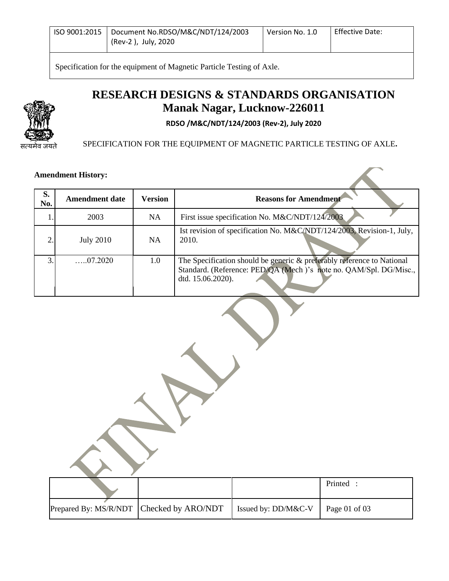| Document No.RDSO/M&C/NDT/124/2003<br>l ISO 9001:2015<br>(Rev-2), July, 2020 | Version No. 1.0 | <b>Effective Date:</b> |
|-----------------------------------------------------------------------------|-----------------|------------------------|
|-----------------------------------------------------------------------------|-----------------|------------------------|

Specification for the equipment of Magnetic Particle Testing of Axle.

# **RESEARCH DESIGNS & STANDARDS ORGANISATION Manak Nagar, Lucknow-226011**

**RDSO /M&C/NDT/124/2003 (Rev-2), July 2020**

सत्यमेव जयते

SPECIFICATION FOR THE EQUIPMENT OF MAGNETIC PARTICLE TESTING OF AXLE**.**

#### **Amendment History:**

| S.  | <b>Amendment date</b> | <b>Version</b> | <b>Reasons for Amendment</b>                                                                                                                                     |
|-----|-----------------------|----------------|------------------------------------------------------------------------------------------------------------------------------------------------------------------|
| No. |                       |                |                                                                                                                                                                  |
|     | 2003                  | NA.            | First issue specification No. M&C/NDT/124/2003                                                                                                                   |
|     | <b>July 2010</b>      | <b>NA</b>      | Ist revision of specification No. M&C/NDT/124/2003, Revision-1, July,<br>2010.                                                                                   |
| 3.  | $\dots 07.2020$       | $1.0\,$        | The Specification should be generic & preferably reference to National<br>Standard. (Reference: PED/QA (Mech)'s note no. QAM/Spl. DG/Misc.,<br>dtd. 15.06.2020). |

|                       |                    |                     | Printed :     |  |
|-----------------------|--------------------|---------------------|---------------|--|
| Prepared By: MS/R/NDT | Checked by ARO/NDT | Issued by: DD/M&C-V | Page 01 of 03 |  |

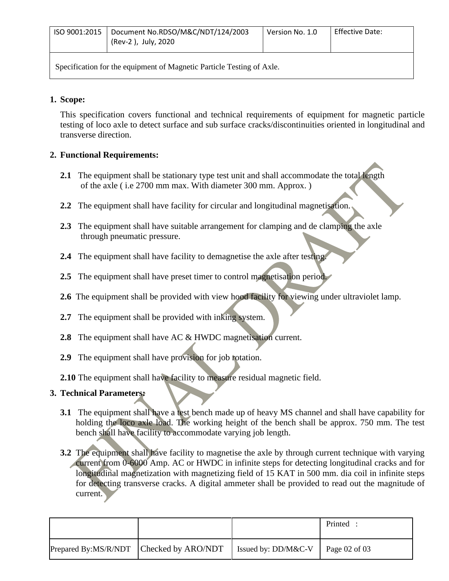| ISO 9001:2015   Document No.RDSO/M&C/NDT/124/2003<br>(Rev-2), July, 2020 | Version No. 1.0 | Effective Date: |
|--------------------------------------------------------------------------|-----------------|-----------------|
|                                                                          |                 |                 |

Specification for the equipment of Magnetic Particle Testing of Axle.

### **1. Scope:**

This specification covers functional and technical requirements of equipment for magnetic particle testing of loco axle to detect surface and sub surface cracks/discontinuities oriented in longitudinal and transverse direction.

# **2. Functional Requirements:**

- **2.1** The equipment shall be stationary type test unit and shall accommodate the total length of the axle ( i.e 2700 mm max. With diameter 300 mm. Approx. )
- **2.2** The equipment shall have facility for circular and longitudinal magnetisation.
- **2.3** The equipment shall have suitable arrangement for clamping and de clamping the axle through pneumatic pressure.
- **2.4** The equipment shall have facility to demagnetise the axle after testing.
- **2.5** The equipment shall have preset timer to control magnetisation period.
- **2.6** The equipment shall be provided with view hood facility for viewing under ultraviolet lamp.
- **2.7** The equipment shall be provided with inking system.
- **2.8** The equipment shall have AC & HWDC magnetisation current.
- **2.9** The equipment shall have provision for job rotation.
- **2.10** The equipment shall have facility to measure residual magnetic field.

# **3. Technical Parameters:**

- **3.1** The equipment shall have a test bench made up of heavy MS channel and shall have capability for holding the loco axle load. The working height of the bench shall be approx. 750 mm. The test bench shall have facility to accommodate varying job length.
- **3.2** The equipment shall have facility to magnetise the axle by through current technique with varying current from 0-6000 Amp. AC or HWDC in infinite steps for detecting longitudinal cracks and for longitudinal magnetization with magnetizing field of 15 KAT in 500 mm. dia coil in infinite steps for detecting transverse cracks. A digital ammeter shall be provided to read out the magnitude of current.

|                                         |                                           | Printed |
|-----------------------------------------|-------------------------------------------|---------|
| Prepared By:MS/R/NDT Checked by ARO/NDT | Issued by: DD/M&C-V $\vert$ Page 02 of 03 |         |